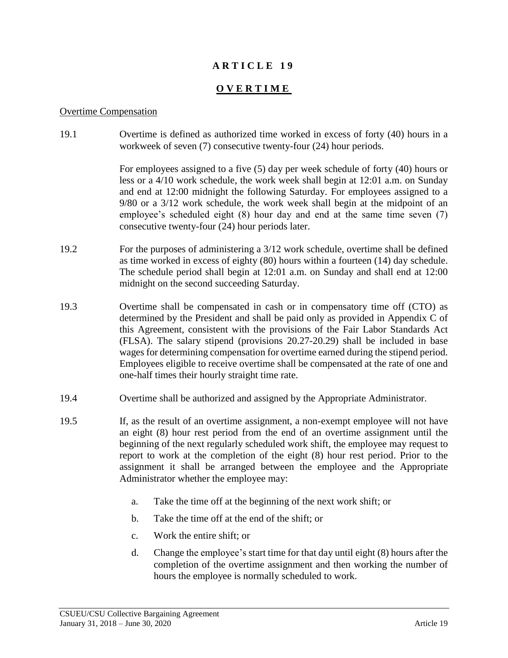## **A R T I C L E 1 9**

# **O V E R T I M E**

#### Overtime Compensation

19.1 Overtime is defined as authorized time worked in excess of forty (40) hours in a workweek of seven (7) consecutive twenty-four (24) hour periods.

> For employees assigned to a five (5) day per week schedule of forty (40) hours or less or a 4/10 work schedule, the work week shall begin at 12:01 a.m. on Sunday and end at 12:00 midnight the following Saturday. For employees assigned to a 9/80 or a 3/12 work schedule, the work week shall begin at the midpoint of an employee's scheduled eight (8) hour day and end at the same time seven (7) consecutive twenty-four (24) hour periods later.

- 19.2 For the purposes of administering a 3/12 work schedule, overtime shall be defined as time worked in excess of eighty (80) hours within a fourteen (14) day schedule. The schedule period shall begin at 12:01 a.m. on Sunday and shall end at 12:00 midnight on the second succeeding Saturday.
- 19.3 Overtime shall be compensated in cash or in compensatory time off (CTO) as determined by the President and shall be paid only as provided in Appendix C of this Agreement, consistent with the provisions of the Fair Labor Standards Act (FLSA). The salary stipend (provisions 20.27-20.29) shall be included in base wages for determining compensation for overtime earned during the stipend period. Employees eligible to receive overtime shall be compensated at the rate of one and one-half times their hourly straight time rate.
- 19.4 Overtime shall be authorized and assigned by the Appropriate Administrator.
- 19.5 If, as the result of an overtime assignment, a non-exempt employee will not have an eight (8) hour rest period from the end of an overtime assignment until the beginning of the next regularly scheduled work shift, the employee may request to report to work at the completion of the eight (8) hour rest period. Prior to the assignment it shall be arranged between the employee and the Appropriate Administrator whether the employee may:
	- a. Take the time off at the beginning of the next work shift; or
	- b. Take the time off at the end of the shift; or
	- c. Work the entire shift; or
	- d. Change the employee's start time for that day until eight (8) hours after the completion of the overtime assignment and then working the number of hours the employee is normally scheduled to work.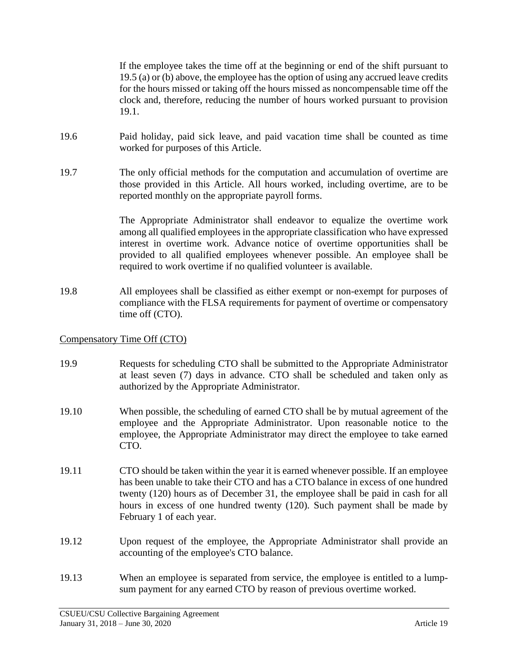If the employee takes the time off at the beginning or end of the shift pursuant to 19.5 (a) or (b) above, the employee has the option of using any accrued leave credits for the hours missed or taking off the hours missed as noncompensable time off the clock and, therefore, reducing the number of hours worked pursuant to provision 19.1.

- 19.6 Paid holiday, paid sick leave, and paid vacation time shall be counted as time worked for purposes of this Article.
- 19.7 The only official methods for the computation and accumulation of overtime are those provided in this Article. All hours worked, including overtime, are to be reported monthly on the appropriate payroll forms.

The Appropriate Administrator shall endeavor to equalize the overtime work among all qualified employees in the appropriate classification who have expressed interest in overtime work. Advance notice of overtime opportunities shall be provided to all qualified employees whenever possible. An employee shall be required to work overtime if no qualified volunteer is available.

19.8 All employees shall be classified as either exempt or non-exempt for purposes of compliance with the FLSA requirements for payment of overtime or compensatory time off (CTO).

# Compensatory Time Off (CTO)

- 19.9 Requests for scheduling CTO shall be submitted to the Appropriate Administrator at least seven (7) days in advance. CTO shall be scheduled and taken only as authorized by the Appropriate Administrator.
- 19.10 When possible, the scheduling of earned CTO shall be by mutual agreement of the employee and the Appropriate Administrator. Upon reasonable notice to the employee, the Appropriate Administrator may direct the employee to take earned CTO.
- 19.11 CTO should be taken within the year it is earned whenever possible. If an employee has been unable to take their CTO and has a CTO balance in excess of one hundred twenty (120) hours as of December 31, the employee shall be paid in cash for all hours in excess of one hundred twenty (120). Such payment shall be made by February 1 of each year.
- 19.12 Upon request of the employee, the Appropriate Administrator shall provide an accounting of the employee's CTO balance.
- 19.13 When an employee is separated from service, the employee is entitled to a lumpsum payment for any earned CTO by reason of previous overtime worked.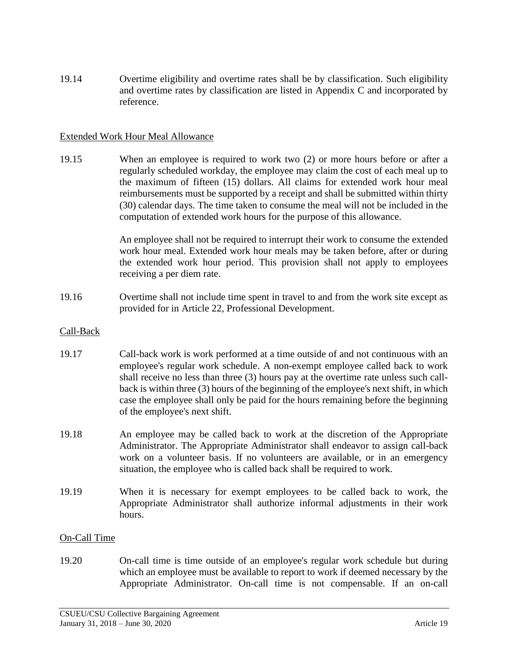19.14 Overtime eligibility and overtime rates shall be by classification. Such eligibility and overtime rates by classification are listed in Appendix C and incorporated by reference.

### Extended Work Hour Meal Allowance

19.15 When an employee is required to work two (2) or more hours before or after a regularly scheduled workday, the employee may claim the cost of each meal up to the maximum of fifteen (15) dollars. All claims for extended work hour meal reimbursements must be supported by a receipt and shall be submitted within thirty (30) calendar days. The time taken to consume the meal will not be included in the computation of extended work hours for the purpose of this allowance.

> An employee shall not be required to interrupt their work to consume the extended work hour meal. Extended work hour meals may be taken before, after or during the extended work hour period. This provision shall not apply to employees receiving a per diem rate.

19.16 Overtime shall not include time spent in travel to and from the work site except as provided for in Article 22, Professional Development.

### Call-Back

- 19.17 Call-back work is work performed at a time outside of and not continuous with an employee's regular work schedule. A non-exempt employee called back to work shall receive no less than three (3) hours pay at the overtime rate unless such callback is within three (3) hours of the beginning of the employee's next shift, in which case the employee shall only be paid for the hours remaining before the beginning of the employee's next shift.
- 19.18 An employee may be called back to work at the discretion of the Appropriate Administrator. The Appropriate Administrator shall endeavor to assign call-back work on a volunteer basis. If no volunteers are available, or in an emergency situation, the employee who is called back shall be required to work.
- 19.19 When it is necessary for exempt employees to be called back to work, the Appropriate Administrator shall authorize informal adjustments in their work hours.

#### On-Call Time

19.20 On-call time is time outside of an employee's regular work schedule but during which an employee must be available to report to work if deemed necessary by the Appropriate Administrator. On-call time is not compensable. If an on-call